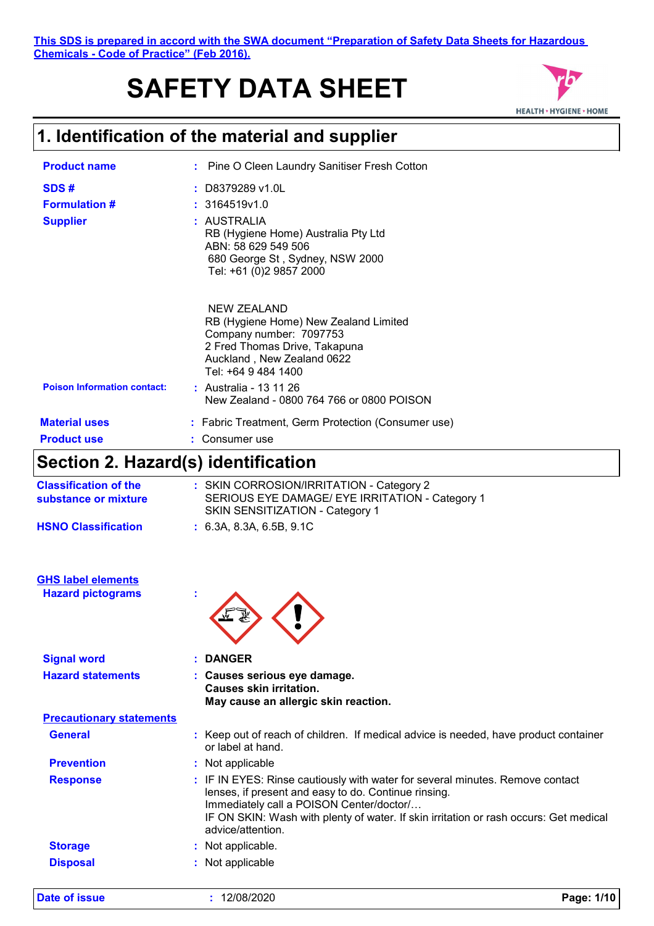#### **This SDS is prepared in accord with the SWA document "Preparation of Safety Data Sheets for Hazardous Chemicals - Code of Practice" (Feb 2016).**

# **SAFETY DATA SHEET**



### **1. Identification of the material and supplier**

| <b>Product name</b>                             | : Pine O Cleen Laundry Sanitiser Fresh Cotton                                                                                                                         |
|-------------------------------------------------|-----------------------------------------------------------------------------------------------------------------------------------------------------------------------|
| SDS#<br><b>Formulation #</b><br><b>Supplier</b> | $:$ D8379289 v1.0L<br>: 3164519v1.0<br>: AUSTRALIA<br>RB (Hygiene Home) Australia Pty Ltd                                                                             |
|                                                 | ABN: 58 629 549 506<br>680 George St, Sydney, NSW 2000<br>Tel: +61 (0)2 9857 2000                                                                                     |
|                                                 | NEW ZEALAND<br>RB (Hygiene Home) New Zealand Limited<br>Company number: 7097753<br>2 Fred Thomas Drive, Takapuna<br>Auckland, New Zealand 0622<br>Tel: +64 9 484 1400 |
| <b>Poison Information contact:</b>              | : Australia - 13 11 26<br>New Zealand - 0800 764 766 or 0800 POISON                                                                                                   |
| <b>Material uses</b>                            | : Fabric Treatment, Germ Protection (Consumer use)                                                                                                                    |
| <b>Product use</b>                              | : Consumer use                                                                                                                                                        |

### **Section 2. Hazard(s) identification**

| <b>Classification of the</b><br>substance or mixture | : SKIN CORROSION/IRRITATION - Category 2<br>SERIOUS EYE DAMAGE/ EYE IRRITATION - Category 1<br>SKIN SENSITIZATION - Category 1 |
|------------------------------------------------------|--------------------------------------------------------------------------------------------------------------------------------|
| <b>HSNO Classification</b>                           | : 6.3A. 8.3A. 6.5B. 9.1C                                                                                                       |

| <b>GHS label elements</b> |  |
|---------------------------|--|
| <b>Hazard pictograms</b>  |  |



| <b>Signal word</b>              | : DANGER                                                                                                                                                                                                                                                                                        |
|---------------------------------|-------------------------------------------------------------------------------------------------------------------------------------------------------------------------------------------------------------------------------------------------------------------------------------------------|
| <b>Hazard statements</b>        | : Causes serious eye damage.<br>Causes skin irritation.<br>May cause an allergic skin reaction.                                                                                                                                                                                                 |
| <b>Precautionary statements</b> |                                                                                                                                                                                                                                                                                                 |
| <b>General</b>                  | : Keep out of reach of children. If medical advice is needed, have product container<br>or label at hand.                                                                                                                                                                                       |
| <b>Prevention</b>               | : Not applicable                                                                                                                                                                                                                                                                                |
| <b>Response</b>                 | : IF IN EYES: Rinse cautiously with water for several minutes. Remove contact<br>lenses, if present and easy to do. Continue rinsing.<br>Immediately call a POISON Center/doctor/<br>IF ON SKIN: Wash with plenty of water. If skin irritation or rash occurs: Get medical<br>advice/attention. |
| <b>Storage</b>                  | : Not applicable.                                                                                                                                                                                                                                                                               |
| <b>Disposal</b>                 | : Not applicable                                                                                                                                                                                                                                                                                |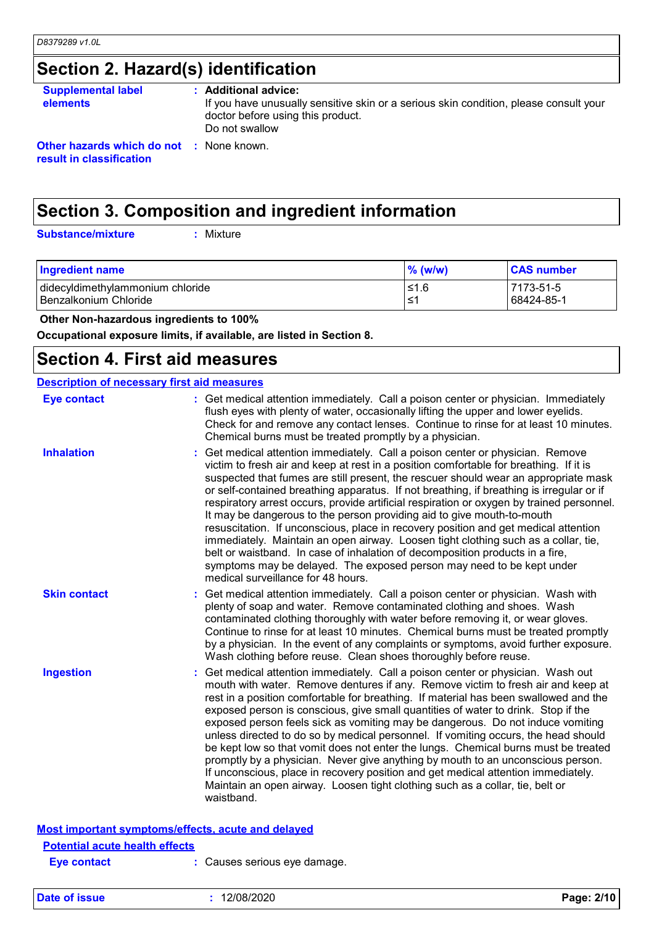## **Section 2. Hazard(s) identification**

| <b>Supplemental label</b><br><b>elements</b>                                | : Additional advice:<br>If you have unusually sensitive skin or a serious skin condition, please consult your<br>doctor before using this product.<br>Do not swallow |
|-----------------------------------------------------------------------------|----------------------------------------------------------------------------------------------------------------------------------------------------------------------|
| <b>Other hazards which do not : None known.</b><br>result in classification |                                                                                                                                                                      |

## **Section 3. Composition and ingredient information**

**Substance/mixture :**

: Mixture

| <b>Ingredient name</b>           | $\%$ (w/w) | <b>CAS number</b> |
|----------------------------------|------------|-------------------|
| didecyldimethylammonium chloride | 1.6≥ا      | 7173-51-5         |
| I Benzalkonium Chloride          | ⊥≤1        | 68424-85-1        |

 **Other Non-hazardous ingredients to 100%**

**Occupational exposure limits, if available, are listed in Section 8.**

### **Section 4. First aid measures**

| <b>Description of necessary first aid measures</b> |                                                                                                                                                                                                                                                                                                                                                                                                                                                                                                                                                                                                                                                                                                                                                                                                                                                                                                               |
|----------------------------------------------------|---------------------------------------------------------------------------------------------------------------------------------------------------------------------------------------------------------------------------------------------------------------------------------------------------------------------------------------------------------------------------------------------------------------------------------------------------------------------------------------------------------------------------------------------------------------------------------------------------------------------------------------------------------------------------------------------------------------------------------------------------------------------------------------------------------------------------------------------------------------------------------------------------------------|
| <b>Eye contact</b>                                 | : Get medical attention immediately. Call a poison center or physician. Immediately<br>flush eyes with plenty of water, occasionally lifting the upper and lower eyelids.<br>Check for and remove any contact lenses. Continue to rinse for at least 10 minutes.<br>Chemical burns must be treated promptly by a physician.                                                                                                                                                                                                                                                                                                                                                                                                                                                                                                                                                                                   |
| <b>Inhalation</b>                                  | Get medical attention immediately. Call a poison center or physician. Remove<br>victim to fresh air and keep at rest in a position comfortable for breathing. If it is<br>suspected that fumes are still present, the rescuer should wear an appropriate mask<br>or self-contained breathing apparatus. If not breathing, if breathing is irregular or if<br>respiratory arrest occurs, provide artificial respiration or oxygen by trained personnel.<br>It may be dangerous to the person providing aid to give mouth-to-mouth<br>resuscitation. If unconscious, place in recovery position and get medical attention<br>immediately. Maintain an open airway. Loosen tight clothing such as a collar, tie,<br>belt or waistband. In case of inhalation of decomposition products in a fire,<br>symptoms may be delayed. The exposed person may need to be kept under<br>medical surveillance for 48 hours. |
| <b>Skin contact</b>                                | Get medical attention immediately. Call a poison center or physician. Wash with<br>plenty of soap and water. Remove contaminated clothing and shoes. Wash<br>contaminated clothing thoroughly with water before removing it, or wear gloves.<br>Continue to rinse for at least 10 minutes. Chemical burns must be treated promptly<br>by a physician. In the event of any complaints or symptoms, avoid further exposure.<br>Wash clothing before reuse. Clean shoes thoroughly before reuse.                                                                                                                                                                                                                                                                                                                                                                                                                 |
| <b>Ingestion</b>                                   | Get medical attention immediately. Call a poison center or physician. Wash out<br>mouth with water. Remove dentures if any. Remove victim to fresh air and keep at<br>rest in a position comfortable for breathing. If material has been swallowed and the<br>exposed person is conscious, give small quantities of water to drink. Stop if the<br>exposed person feels sick as vomiting may be dangerous. Do not induce vomiting<br>unless directed to do so by medical personnel. If vomiting occurs, the head should<br>be kept low so that vomit does not enter the lungs. Chemical burns must be treated<br>promptly by a physician. Never give anything by mouth to an unconscious person.<br>If unconscious, place in recovery position and get medical attention immediately.<br>Maintain an open airway. Loosen tight clothing such as a collar, tie, belt or<br>waistband.                          |
|                                                    | Most important symptoms/effects, acute and delayed                                                                                                                                                                                                                                                                                                                                                                                                                                                                                                                                                                                                                                                                                                                                                                                                                                                            |
| <b>Potential acute health effects</b>              |                                                                                                                                                                                                                                                                                                                                                                                                                                                                                                                                                                                                                                                                                                                                                                                                                                                                                                               |
| Eve contact                                        | : Causes serious eye damage.                                                                                                                                                                                                                                                                                                                                                                                                                                                                                                                                                                                                                                                                                                                                                                                                                                                                                  |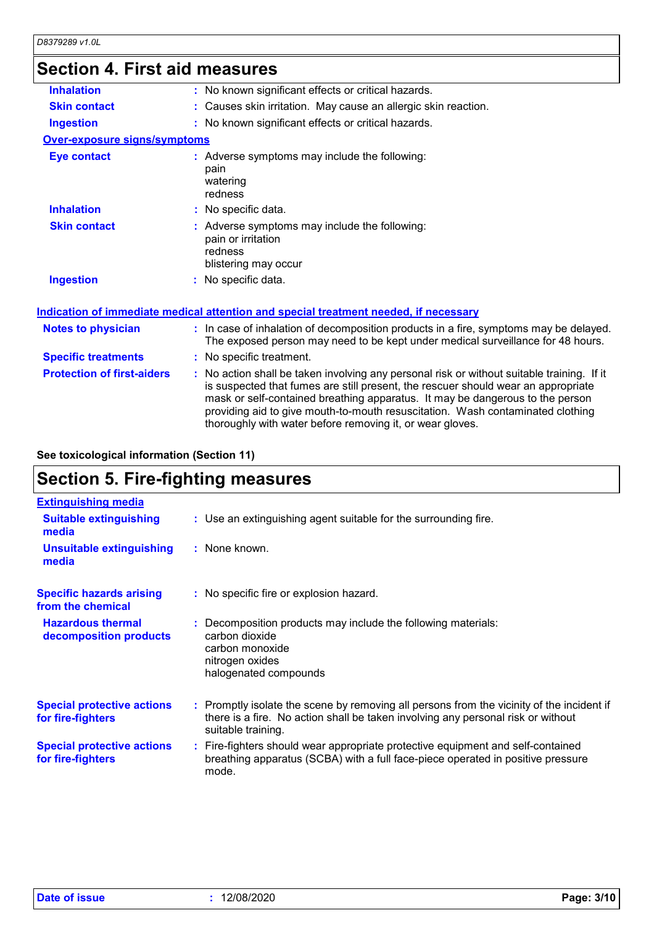### **Section 4. First aid measures**

| 00000011 T. I II OL UN IIIVUJUI VJ |                                                                                                                                                                                                                                                                                                                                                                                                                 |
|------------------------------------|-----------------------------------------------------------------------------------------------------------------------------------------------------------------------------------------------------------------------------------------------------------------------------------------------------------------------------------------------------------------------------------------------------------------|
| <b>Inhalation</b>                  | : No known significant effects or critical hazards.                                                                                                                                                                                                                                                                                                                                                             |
| <b>Skin contact</b>                | : Causes skin irritation. May cause an allergic skin reaction.                                                                                                                                                                                                                                                                                                                                                  |
| <b>Ingestion</b>                   | : No known significant effects or critical hazards.                                                                                                                                                                                                                                                                                                                                                             |
| Over-exposure signs/symptoms       |                                                                                                                                                                                                                                                                                                                                                                                                                 |
| <b>Eye contact</b>                 | : Adverse symptoms may include the following:<br>pain<br>watering<br>redness                                                                                                                                                                                                                                                                                                                                    |
| <b>Inhalation</b>                  | : No specific data.                                                                                                                                                                                                                                                                                                                                                                                             |
| <b>Skin contact</b>                | : Adverse symptoms may include the following:<br>pain or irritation<br>redness<br>blistering may occur                                                                                                                                                                                                                                                                                                          |
| <b>Ingestion</b>                   | : No specific data.                                                                                                                                                                                                                                                                                                                                                                                             |
|                                    | Indication of immediate medical attention and special treatment needed, if necessary                                                                                                                                                                                                                                                                                                                            |
| <b>Notes to physician</b>          | : In case of inhalation of decomposition products in a fire, symptoms may be delayed.<br>The exposed person may need to be kept under medical surveillance for 48 hours.                                                                                                                                                                                                                                        |
| <b>Specific treatments</b>         | : No specific treatment.                                                                                                                                                                                                                                                                                                                                                                                        |
| <b>Protection of first-aiders</b>  | : No action shall be taken involving any personal risk or without suitable training. If it<br>is suspected that fumes are still present, the rescuer should wear an appropriate<br>mask or self-contained breathing apparatus. It may be dangerous to the person<br>providing aid to give mouth-to-mouth resuscitation. Wash contaminated clothing<br>thoroughly with water before removing it, or wear gloves. |
|                                    |                                                                                                                                                                                                                                                                                                                                                                                                                 |

**See toxicological information (Section 11)**

## **Section 5. Fire-fighting measures**

| <b>Extinguishing media</b>                             |                                                                                                                                                                                                     |
|--------------------------------------------------------|-----------------------------------------------------------------------------------------------------------------------------------------------------------------------------------------------------|
| <b>Suitable extinguishing</b><br>media                 | : Use an extinguishing agent suitable for the surrounding fire.                                                                                                                                     |
| <b>Unsuitable extinguishing</b><br>media               | : None known.                                                                                                                                                                                       |
| <b>Specific hazards arising</b><br>from the chemical   | : No specific fire or explosion hazard.                                                                                                                                                             |
| <b>Hazardous thermal</b><br>decomposition products     | : Decomposition products may include the following materials:<br>carbon dioxide<br>carbon monoxide<br>nitrogen oxides<br>halogenated compounds                                                      |
| <b>Special protective actions</b><br>for fire-fighters | : Promptly isolate the scene by removing all persons from the vicinity of the incident if<br>there is a fire. No action shall be taken involving any personal risk or without<br>suitable training. |
| <b>Special protective actions</b><br>for fire-fighters | : Fire-fighters should wear appropriate protective equipment and self-contained<br>breathing apparatus (SCBA) with a full face-piece operated in positive pressure<br>mode.                         |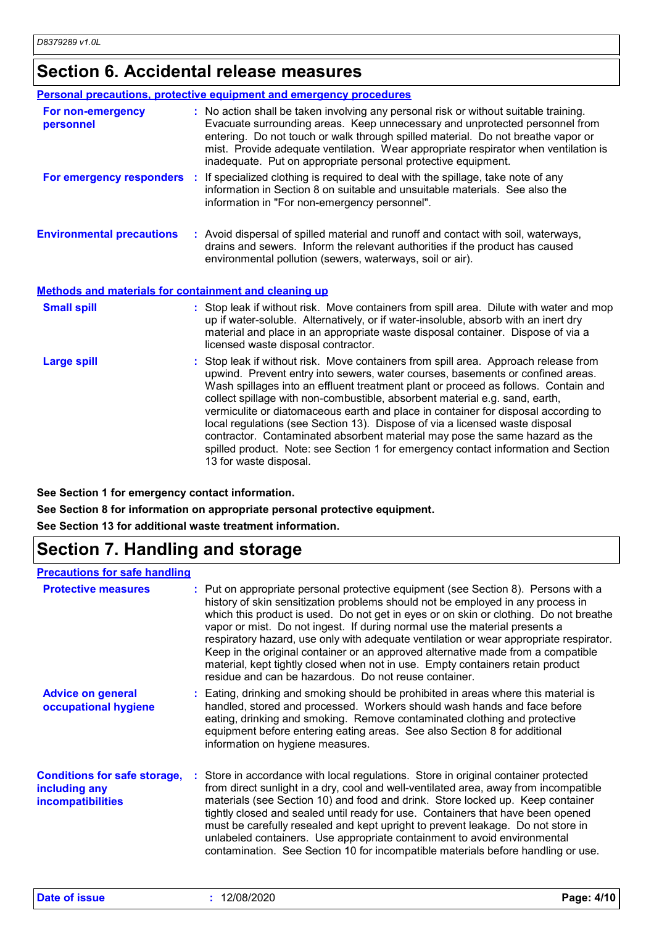## **Section 6. Accidental release measures**

|                                                              | Personal precautions, protective equipment and emergency procedures                                                                                                                                                                                                                                                                                                                                                                                                                                                                                                                                                                                                                                             |
|--------------------------------------------------------------|-----------------------------------------------------------------------------------------------------------------------------------------------------------------------------------------------------------------------------------------------------------------------------------------------------------------------------------------------------------------------------------------------------------------------------------------------------------------------------------------------------------------------------------------------------------------------------------------------------------------------------------------------------------------------------------------------------------------|
| For non-emergency<br>personnel                               | : No action shall be taken involving any personal risk or without suitable training.<br>Evacuate surrounding areas. Keep unnecessary and unprotected personnel from<br>entering. Do not touch or walk through spilled material. Do not breathe vapor or<br>mist. Provide adequate ventilation. Wear appropriate respirator when ventilation is<br>inadequate. Put on appropriate personal protective equipment.                                                                                                                                                                                                                                                                                                 |
|                                                              | For emergency responders : If specialized clothing is required to deal with the spillage, take note of any<br>information in Section 8 on suitable and unsuitable materials. See also the<br>information in "For non-emergency personnel".                                                                                                                                                                                                                                                                                                                                                                                                                                                                      |
| <b>Environmental precautions</b>                             | : Avoid dispersal of spilled material and runoff and contact with soil, waterways,<br>drains and sewers. Inform the relevant authorities if the product has caused<br>environmental pollution (sewers, waterways, soil or air).                                                                                                                                                                                                                                                                                                                                                                                                                                                                                 |
| <b>Methods and materials for containment and cleaning up</b> |                                                                                                                                                                                                                                                                                                                                                                                                                                                                                                                                                                                                                                                                                                                 |
| <b>Small spill</b>                                           | : Stop leak if without risk. Move containers from spill area. Dilute with water and mop<br>up if water-soluble. Alternatively, or if water-insoluble, absorb with an inert dry<br>material and place in an appropriate waste disposal container. Dispose of via a<br>licensed waste disposal contractor.                                                                                                                                                                                                                                                                                                                                                                                                        |
| <b>Large spill</b>                                           | : Stop leak if without risk. Move containers from spill area. Approach release from<br>upwind. Prevent entry into sewers, water courses, basements or confined areas.<br>Wash spillages into an effluent treatment plant or proceed as follows. Contain and<br>collect spillage with non-combustible, absorbent material e.g. sand, earth,<br>vermiculite or diatomaceous earth and place in container for disposal according to<br>local regulations (see Section 13). Dispose of via a licensed waste disposal<br>contractor. Contaminated absorbent material may pose the same hazard as the<br>spilled product. Note: see Section 1 for emergency contact information and Section<br>13 for waste disposal. |

**See Section 1 for emergency contact information.**

**See Section 8 for information on appropriate personal protective equipment.**

**See Section 13 for additional waste treatment information.**

## **Section 7. Handling and storage**

#### **Precautions for safe handling**

| <b>Protective measures</b>                                                       | : Put on appropriate personal protective equipment (see Section 8). Persons with a<br>history of skin sensitization problems should not be employed in any process in<br>which this product is used. Do not get in eyes or on skin or clothing. Do not breathe<br>vapor or mist. Do not ingest. If during normal use the material presents a<br>respiratory hazard, use only with adequate ventilation or wear appropriate respirator.<br>Keep in the original container or an approved alternative made from a compatible<br>material, kept tightly closed when not in use. Empty containers retain product<br>residue and can be hazardous. Do not reuse container. |
|----------------------------------------------------------------------------------|-----------------------------------------------------------------------------------------------------------------------------------------------------------------------------------------------------------------------------------------------------------------------------------------------------------------------------------------------------------------------------------------------------------------------------------------------------------------------------------------------------------------------------------------------------------------------------------------------------------------------------------------------------------------------|
| <b>Advice on general</b><br>occupational hygiene                                 | : Eating, drinking and smoking should be prohibited in areas where this material is<br>handled, stored and processed. Workers should wash hands and face before<br>eating, drinking and smoking. Remove contaminated clothing and protective<br>equipment before entering eating areas. See also Section 8 for additional<br>information on hygiene measures.                                                                                                                                                                                                                                                                                                         |
| <b>Conditions for safe storage,</b><br>including any<br><b>incompatibilities</b> | : Store in accordance with local regulations. Store in original container protected<br>from direct sunlight in a dry, cool and well-ventilated area, away from incompatible<br>materials (see Section 10) and food and drink. Store locked up. Keep container<br>tightly closed and sealed until ready for use. Containers that have been opened<br>must be carefully resealed and kept upright to prevent leakage. Do not store in<br>unlabeled containers. Use appropriate containment to avoid environmental<br>contamination. See Section 10 for incompatible materials before handling or use.                                                                   |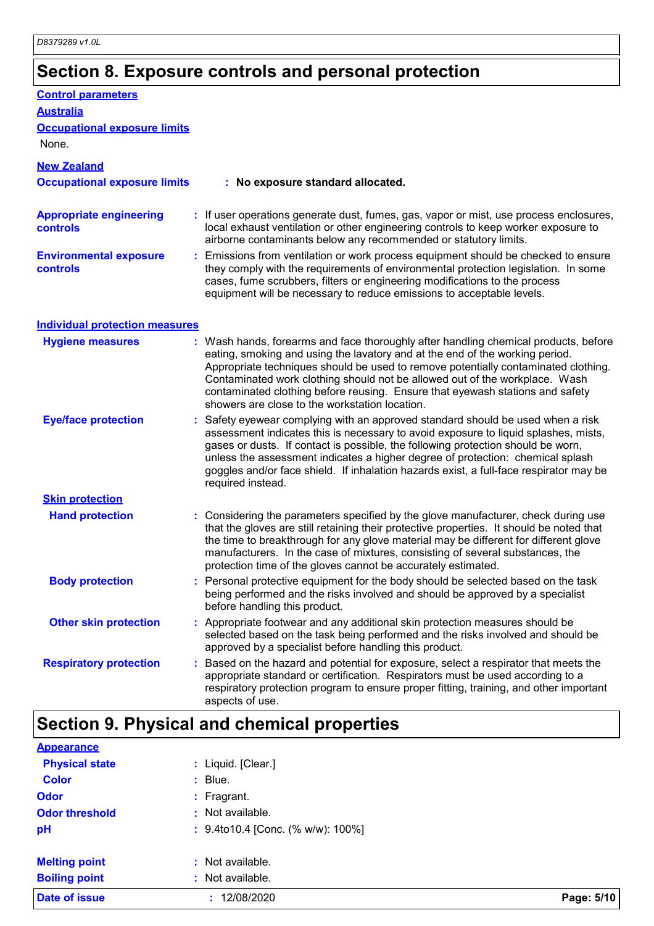# **Section 8. Exposure controls and personal protection**

| <b>Control parameters</b>                         |                                                                                                                                                                                                                                                                                                                                                                                                                                                                             |
|---------------------------------------------------|-----------------------------------------------------------------------------------------------------------------------------------------------------------------------------------------------------------------------------------------------------------------------------------------------------------------------------------------------------------------------------------------------------------------------------------------------------------------------------|
| <b>Australia</b>                                  |                                                                                                                                                                                                                                                                                                                                                                                                                                                                             |
| <b>Occupational exposure limits</b>               |                                                                                                                                                                                                                                                                                                                                                                                                                                                                             |
| None.                                             |                                                                                                                                                                                                                                                                                                                                                                                                                                                                             |
| <b>New Zealand</b>                                |                                                                                                                                                                                                                                                                                                                                                                                                                                                                             |
| <b>Occupational exposure limits</b>               | : No exposure standard allocated.                                                                                                                                                                                                                                                                                                                                                                                                                                           |
| <b>Appropriate engineering</b><br><b>controls</b> | : If user operations generate dust, fumes, gas, vapor or mist, use process enclosures,<br>local exhaust ventilation or other engineering controls to keep worker exposure to<br>airborne contaminants below any recommended or statutory limits.                                                                                                                                                                                                                            |
| <b>Environmental exposure</b><br><b>controls</b>  | : Emissions from ventilation or work process equipment should be checked to ensure<br>they comply with the requirements of environmental protection legislation. In some<br>cases, fume scrubbers, filters or engineering modifications to the process<br>equipment will be necessary to reduce emissions to acceptable levels.                                                                                                                                             |
| <b>Individual protection measures</b>             |                                                                                                                                                                                                                                                                                                                                                                                                                                                                             |
| <b>Hygiene measures</b>                           | : Wash hands, forearms and face thoroughly after handling chemical products, before<br>eating, smoking and using the lavatory and at the end of the working period.<br>Appropriate techniques should be used to remove potentially contaminated clothing.<br>Contaminated work clothing should not be allowed out of the workplace. Wash<br>contaminated clothing before reusing. Ensure that eyewash stations and safety<br>showers are close to the workstation location. |
| <b>Eye/face protection</b>                        | Safety eyewear complying with an approved standard should be used when a risk<br>assessment indicates this is necessary to avoid exposure to liquid splashes, mists,<br>gases or dusts. If contact is possible, the following protection should be worn,<br>unless the assessment indicates a higher degree of protection: chemical splash<br>goggles and/or face shield. If inhalation hazards exist, a full-face respirator may be<br>required instead.                   |
| <b>Skin protection</b>                            |                                                                                                                                                                                                                                                                                                                                                                                                                                                                             |
| <b>Hand protection</b>                            | : Considering the parameters specified by the glove manufacturer, check during use<br>that the gloves are still retaining their protective properties. It should be noted that<br>the time to breakthrough for any glove material may be different for different glove<br>manufacturers. In the case of mixtures, consisting of several substances, the<br>protection time of the gloves cannot be accurately estimated.                                                    |
| <b>Body protection</b>                            | Personal protective equipment for the body should be selected based on the task<br>being performed and the risks involved and should be approved by a specialist<br>before handling this product.                                                                                                                                                                                                                                                                           |
| <b>Other skin protection</b>                      | Appropriate footwear and any additional skin protection measures should be<br>selected based on the task being performed and the risks involved and should be<br>approved by a specialist before handling this product.                                                                                                                                                                                                                                                     |
| <b>Respiratory protection</b>                     | Based on the hazard and potential for exposure, select a respirator that meets the<br>appropriate standard or certification. Respirators must be used according to a<br>respiratory protection program to ensure proper fitting, training, and other important<br>aspects of use.                                                                                                                                                                                           |

| <b>Appearance</b>     |                                   |            |
|-----------------------|-----------------------------------|------------|
| <b>Physical state</b> | : Liquid. [Clear.]                |            |
| <b>Color</b>          | $:$ Blue.                         |            |
| <b>Odor</b>           | $:$ Fragrant.                     |            |
| <b>Odor threshold</b> | : Not available.                  |            |
| pH                    | : 9.4to10.4 [Conc. (% w/w): 100%] |            |
| <b>Melting point</b>  | : Not available.                  |            |
| <b>Boiling point</b>  | : Not available.                  |            |
| <b>Date of issue</b>  | 12/08/2020                        | Page: 5/10 |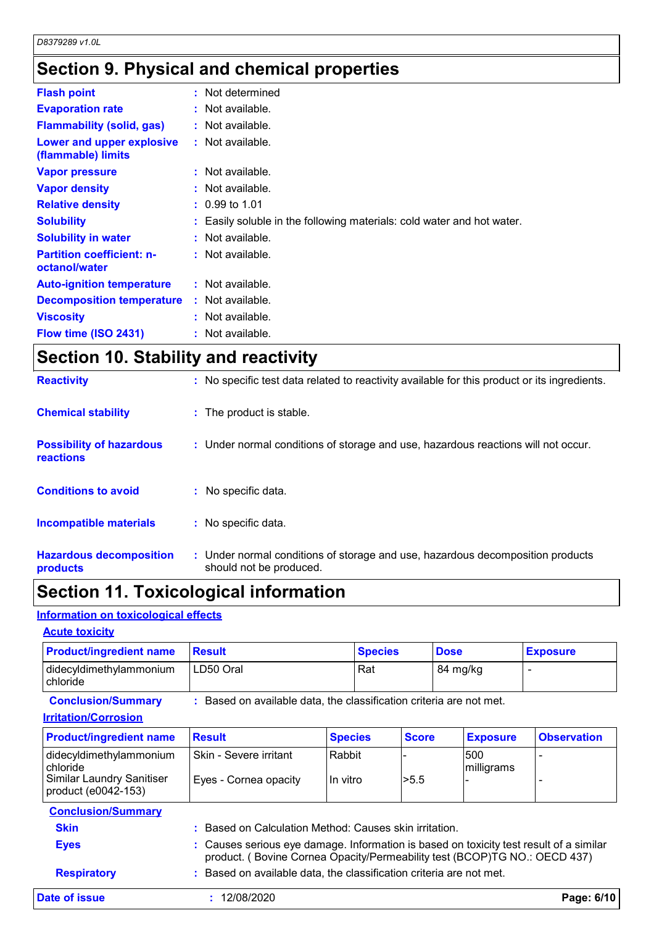## **Section 9. Physical and chemical properties**

| <b>Flash point</b>                                | : Not determined                                                       |
|---------------------------------------------------|------------------------------------------------------------------------|
| <b>Evaporation rate</b>                           | : Not available.                                                       |
| <b>Flammability (solid, gas)</b>                  | $:$ Not available.                                                     |
| Lower and upper explosive<br>(flammable) limits   | $:$ Not available.                                                     |
| <b>Vapor pressure</b>                             | $:$ Not available.                                                     |
| <b>Vapor density</b>                              | $:$ Not available.                                                     |
| <b>Relative density</b>                           | $: 0.99$ to 1.01                                                       |
| <b>Solubility</b>                                 | : Easily soluble in the following materials: cold water and hot water. |
| <b>Solubility in water</b>                        | $:$ Not available.                                                     |
| <b>Partition coefficient: n-</b><br>octanol/water | $:$ Not available.                                                     |
| <b>Auto-ignition temperature</b>                  | $:$ Not available.                                                     |
| <b>Decomposition temperature</b>                  | $:$ Not available.                                                     |
| <b>Viscosity</b>                                  | $:$ Not available.                                                     |
| Flow time (ISO 2431)                              | : Not available.                                                       |

## **Section 10. Stability and reactivity**

| <b>Hazardous decomposition</b><br>products   | : Under normal conditions of storage and use, hazardous decomposition products<br>should not be produced. |
|----------------------------------------------|-----------------------------------------------------------------------------------------------------------|
| <b>Incompatible materials</b>                | : No specific data.                                                                                       |
| <b>Conditions to avoid</b>                   | : No specific data.                                                                                       |
| <b>Possibility of hazardous</b><br>reactions | : Under normal conditions of storage and use, hazardous reactions will not occur.                         |
| <b>Chemical stability</b>                    | : The product is stable.                                                                                  |
| <b>Reactivity</b>                            | : No specific test data related to reactivity available for this product or its ingredients.              |

### **Section 11. Toxicological information**

### **Information on toxicological effects**

| <b>Acute toxicity</b> |
|-----------------------|
|                       |

| <b>Product/ingredient name</b>        | Result    | <b>Species</b> | <b>Dose</b> | <b>Exposure</b> |
|---------------------------------------|-----------|----------------|-------------|-----------------|
| didecyldimethylammonium<br>l chloride | LD50 Oral | Rat            | 84 mg/kg    |                 |

**Conclusion/Summary :** Based on available data, the classification criteria are not met.

#### **Irritation/Corrosion**

| <b>Product/ingredient name</b>                          | <b>Result</b>                                                                                                                                                       | <b>Species</b> | <b>Score</b> | <b>Exposure</b>   | <b>Observation</b> |
|---------------------------------------------------------|---------------------------------------------------------------------------------------------------------------------------------------------------------------------|----------------|--------------|-------------------|--------------------|
| didecyldimethylammonium<br>chloride                     | Skin - Severe irritant                                                                                                                                              | Rabbit         |              | 500<br>milligrams |                    |
| <b>Similar Laundry Sanitiser</b><br>product (e0042-153) | Eyes - Cornea opacity                                                                                                                                               | In vitro       | >5.5         |                   |                    |
| <b>Conclusion/Summary</b>                               |                                                                                                                                                                     |                |              |                   |                    |
| <b>Skin</b>                                             | Based on Calculation Method: Causes skin irritation.                                                                                                                |                |              |                   |                    |
| <b>Eyes</b>                                             | : Causes serious eye damage. Information is based on toxicity test result of a similar<br>product. (Bovine Cornea Opacity/Permeability test (BCOP)TG NO.: OECD 437) |                |              |                   |                    |
| <b>Respiratory</b>                                      | Based on available data, the classification criteria are not met.                                                                                                   |                |              |                   |                    |
| Date of issue                                           | 12/08/2020                                                                                                                                                          |                |              |                   | Page: 6/10         |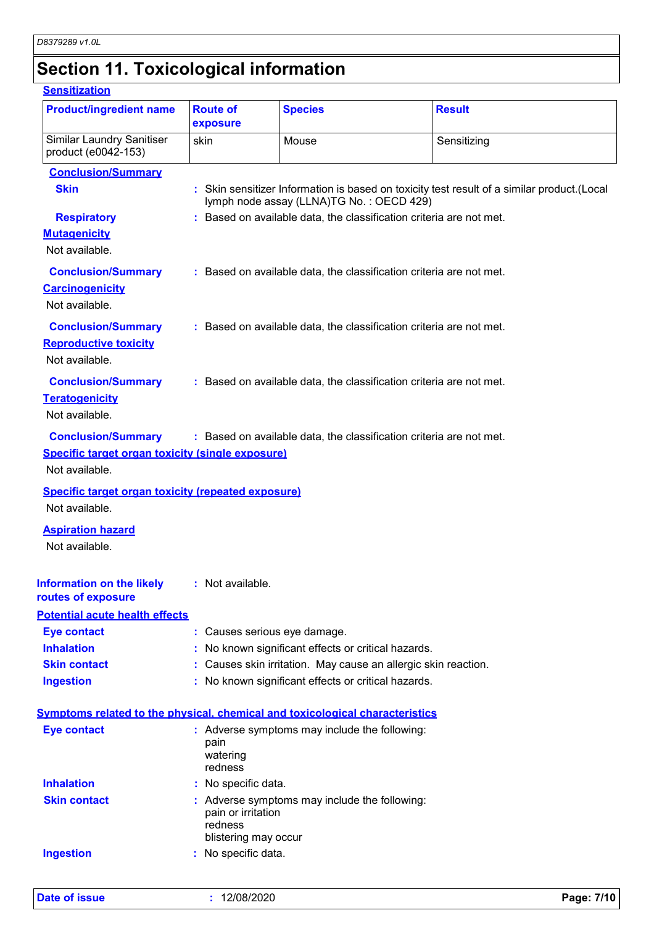# **Section 11. Toxicological information**

#### **Sensitization**

| <b>Product/ingredient name</b><br><b>Route of</b><br><b>Species</b><br><b>Result</b><br>exposure<br><b>Similar Laundry Sanitiser</b><br>Mouse<br>Sensitizing<br>skin<br>product (e0042-153)<br><b>Conclusion/Summary</b><br><b>Skin</b><br>: Skin sensitizer Information is based on toxicity test result of a similar product. (Local<br>lymph node assay (LLNA)TG No.: OECD 429)<br>: Based on available data, the classification criteria are not met.<br><b>Respiratory</b><br><b>Mutagenicity</b><br>Not available.<br><b>Conclusion/Summary</b><br>: Based on available data, the classification criteria are not met.<br><b>Carcinogenicity</b><br>Not available.<br><b>Conclusion/Summary</b><br>: Based on available data, the classification criteria are not met.<br><b>Reproductive toxicity</b><br>Not available.<br><b>Conclusion/Summary</b><br>: Based on available data, the classification criteria are not met.<br><b>Teratogenicity</b><br>Not available.<br><b>Conclusion/Summary</b><br>: Based on available data, the classification criteria are not met.<br><b>Specific target organ toxicity (single exposure)</b><br>Not available.<br><b>Specific target organ toxicity (repeated exposure)</b><br>Not available.<br><b>Aspiration hazard</b><br>Not available.<br>: Not available.<br><b>Eye contact</b><br>: Causes serious eye damage.<br><b>Inhalation</b><br>No known significant effects or critical hazards.<br><b>Skin contact</b><br>: Causes skin irritation. May cause an allergic skin reaction.<br><b>Ingestion</b><br>: No known significant effects or critical hazards.<br><b>Eye contact</b><br>: Adverse symptoms may include the following:<br>pain<br>watering<br>redness<br><b>Inhalation</b><br>: No specific data.<br><b>Skin contact</b><br>: Adverse symptoms may include the following: |  |  |
|-----------------------------------------------------------------------------------------------------------------------------------------------------------------------------------------------------------------------------------------------------------------------------------------------------------------------------------------------------------------------------------------------------------------------------------------------------------------------------------------------------------------------------------------------------------------------------------------------------------------------------------------------------------------------------------------------------------------------------------------------------------------------------------------------------------------------------------------------------------------------------------------------------------------------------------------------------------------------------------------------------------------------------------------------------------------------------------------------------------------------------------------------------------------------------------------------------------------------------------------------------------------------------------------------------------------------------------------------------------------------------------------------------------------------------------------------------------------------------------------------------------------------------------------------------------------------------------------------------------------------------------------------------------------------------------------------------------------------------------------------------------------------------------------------------------------------------------------------|--|--|
|                                                                                                                                                                                                                                                                                                                                                                                                                                                                                                                                                                                                                                                                                                                                                                                                                                                                                                                                                                                                                                                                                                                                                                                                                                                                                                                                                                                                                                                                                                                                                                                                                                                                                                                                                                                                                                               |  |  |
|                                                                                                                                                                                                                                                                                                                                                                                                                                                                                                                                                                                                                                                                                                                                                                                                                                                                                                                                                                                                                                                                                                                                                                                                                                                                                                                                                                                                                                                                                                                                                                                                                                                                                                                                                                                                                                               |  |  |
|                                                                                                                                                                                                                                                                                                                                                                                                                                                                                                                                                                                                                                                                                                                                                                                                                                                                                                                                                                                                                                                                                                                                                                                                                                                                                                                                                                                                                                                                                                                                                                                                                                                                                                                                                                                                                                               |  |  |
|                                                                                                                                                                                                                                                                                                                                                                                                                                                                                                                                                                                                                                                                                                                                                                                                                                                                                                                                                                                                                                                                                                                                                                                                                                                                                                                                                                                                                                                                                                                                                                                                                                                                                                                                                                                                                                               |  |  |
|                                                                                                                                                                                                                                                                                                                                                                                                                                                                                                                                                                                                                                                                                                                                                                                                                                                                                                                                                                                                                                                                                                                                                                                                                                                                                                                                                                                                                                                                                                                                                                                                                                                                                                                                                                                                                                               |  |  |
|                                                                                                                                                                                                                                                                                                                                                                                                                                                                                                                                                                                                                                                                                                                                                                                                                                                                                                                                                                                                                                                                                                                                                                                                                                                                                                                                                                                                                                                                                                                                                                                                                                                                                                                                                                                                                                               |  |  |
|                                                                                                                                                                                                                                                                                                                                                                                                                                                                                                                                                                                                                                                                                                                                                                                                                                                                                                                                                                                                                                                                                                                                                                                                                                                                                                                                                                                                                                                                                                                                                                                                                                                                                                                                                                                                                                               |  |  |
|                                                                                                                                                                                                                                                                                                                                                                                                                                                                                                                                                                                                                                                                                                                                                                                                                                                                                                                                                                                                                                                                                                                                                                                                                                                                                                                                                                                                                                                                                                                                                                                                                                                                                                                                                                                                                                               |  |  |
|                                                                                                                                                                                                                                                                                                                                                                                                                                                                                                                                                                                                                                                                                                                                                                                                                                                                                                                                                                                                                                                                                                                                                                                                                                                                                                                                                                                                                                                                                                                                                                                                                                                                                                                                                                                                                                               |  |  |
|                                                                                                                                                                                                                                                                                                                                                                                                                                                                                                                                                                                                                                                                                                                                                                                                                                                                                                                                                                                                                                                                                                                                                                                                                                                                                                                                                                                                                                                                                                                                                                                                                                                                                                                                                                                                                                               |  |  |
|                                                                                                                                                                                                                                                                                                                                                                                                                                                                                                                                                                                                                                                                                                                                                                                                                                                                                                                                                                                                                                                                                                                                                                                                                                                                                                                                                                                                                                                                                                                                                                                                                                                                                                                                                                                                                                               |  |  |
|                                                                                                                                                                                                                                                                                                                                                                                                                                                                                                                                                                                                                                                                                                                                                                                                                                                                                                                                                                                                                                                                                                                                                                                                                                                                                                                                                                                                                                                                                                                                                                                                                                                                                                                                                                                                                                               |  |  |
|                                                                                                                                                                                                                                                                                                                                                                                                                                                                                                                                                                                                                                                                                                                                                                                                                                                                                                                                                                                                                                                                                                                                                                                                                                                                                                                                                                                                                                                                                                                                                                                                                                                                                                                                                                                                                                               |  |  |
|                                                                                                                                                                                                                                                                                                                                                                                                                                                                                                                                                                                                                                                                                                                                                                                                                                                                                                                                                                                                                                                                                                                                                                                                                                                                                                                                                                                                                                                                                                                                                                                                                                                                                                                                                                                                                                               |  |  |
|                                                                                                                                                                                                                                                                                                                                                                                                                                                                                                                                                                                                                                                                                                                                                                                                                                                                                                                                                                                                                                                                                                                                                                                                                                                                                                                                                                                                                                                                                                                                                                                                                                                                                                                                                                                                                                               |  |  |
|                                                                                                                                                                                                                                                                                                                                                                                                                                                                                                                                                                                                                                                                                                                                                                                                                                                                                                                                                                                                                                                                                                                                                                                                                                                                                                                                                                                                                                                                                                                                                                                                                                                                                                                                                                                                                                               |  |  |
|                                                                                                                                                                                                                                                                                                                                                                                                                                                                                                                                                                                                                                                                                                                                                                                                                                                                                                                                                                                                                                                                                                                                                                                                                                                                                                                                                                                                                                                                                                                                                                                                                                                                                                                                                                                                                                               |  |  |
|                                                                                                                                                                                                                                                                                                                                                                                                                                                                                                                                                                                                                                                                                                                                                                                                                                                                                                                                                                                                                                                                                                                                                                                                                                                                                                                                                                                                                                                                                                                                                                                                                                                                                                                                                                                                                                               |  |  |
| Information on the likely<br>routes of exposure<br><b>Potential acute health effects</b><br>Symptoms related to the physical, chemical and toxicological characteristics                                                                                                                                                                                                                                                                                                                                                                                                                                                                                                                                                                                                                                                                                                                                                                                                                                                                                                                                                                                                                                                                                                                                                                                                                                                                                                                                                                                                                                                                                                                                                                                                                                                                      |  |  |
|                                                                                                                                                                                                                                                                                                                                                                                                                                                                                                                                                                                                                                                                                                                                                                                                                                                                                                                                                                                                                                                                                                                                                                                                                                                                                                                                                                                                                                                                                                                                                                                                                                                                                                                                                                                                                                               |  |  |
|                                                                                                                                                                                                                                                                                                                                                                                                                                                                                                                                                                                                                                                                                                                                                                                                                                                                                                                                                                                                                                                                                                                                                                                                                                                                                                                                                                                                                                                                                                                                                                                                                                                                                                                                                                                                                                               |  |  |
|                                                                                                                                                                                                                                                                                                                                                                                                                                                                                                                                                                                                                                                                                                                                                                                                                                                                                                                                                                                                                                                                                                                                                                                                                                                                                                                                                                                                                                                                                                                                                                                                                                                                                                                                                                                                                                               |  |  |
|                                                                                                                                                                                                                                                                                                                                                                                                                                                                                                                                                                                                                                                                                                                                                                                                                                                                                                                                                                                                                                                                                                                                                                                                                                                                                                                                                                                                                                                                                                                                                                                                                                                                                                                                                                                                                                               |  |  |
|                                                                                                                                                                                                                                                                                                                                                                                                                                                                                                                                                                                                                                                                                                                                                                                                                                                                                                                                                                                                                                                                                                                                                                                                                                                                                                                                                                                                                                                                                                                                                                                                                                                                                                                                                                                                                                               |  |  |
|                                                                                                                                                                                                                                                                                                                                                                                                                                                                                                                                                                                                                                                                                                                                                                                                                                                                                                                                                                                                                                                                                                                                                                                                                                                                                                                                                                                                                                                                                                                                                                                                                                                                                                                                                                                                                                               |  |  |
|                                                                                                                                                                                                                                                                                                                                                                                                                                                                                                                                                                                                                                                                                                                                                                                                                                                                                                                                                                                                                                                                                                                                                                                                                                                                                                                                                                                                                                                                                                                                                                                                                                                                                                                                                                                                                                               |  |  |
|                                                                                                                                                                                                                                                                                                                                                                                                                                                                                                                                                                                                                                                                                                                                                                                                                                                                                                                                                                                                                                                                                                                                                                                                                                                                                                                                                                                                                                                                                                                                                                                                                                                                                                                                                                                                                                               |  |  |
|                                                                                                                                                                                                                                                                                                                                                                                                                                                                                                                                                                                                                                                                                                                                                                                                                                                                                                                                                                                                                                                                                                                                                                                                                                                                                                                                                                                                                                                                                                                                                                                                                                                                                                                                                                                                                                               |  |  |
|                                                                                                                                                                                                                                                                                                                                                                                                                                                                                                                                                                                                                                                                                                                                                                                                                                                                                                                                                                                                                                                                                                                                                                                                                                                                                                                                                                                                                                                                                                                                                                                                                                                                                                                                                                                                                                               |  |  |
|                                                                                                                                                                                                                                                                                                                                                                                                                                                                                                                                                                                                                                                                                                                                                                                                                                                                                                                                                                                                                                                                                                                                                                                                                                                                                                                                                                                                                                                                                                                                                                                                                                                                                                                                                                                                                                               |  |  |
| pain or irritation                                                                                                                                                                                                                                                                                                                                                                                                                                                                                                                                                                                                                                                                                                                                                                                                                                                                                                                                                                                                                                                                                                                                                                                                                                                                                                                                                                                                                                                                                                                                                                                                                                                                                                                                                                                                                            |  |  |
| redness<br>blistering may occur                                                                                                                                                                                                                                                                                                                                                                                                                                                                                                                                                                                                                                                                                                                                                                                                                                                                                                                                                                                                                                                                                                                                                                                                                                                                                                                                                                                                                                                                                                                                                                                                                                                                                                                                                                                                               |  |  |
|                                                                                                                                                                                                                                                                                                                                                                                                                                                                                                                                                                                                                                                                                                                                                                                                                                                                                                                                                                                                                                                                                                                                                                                                                                                                                                                                                                                                                                                                                                                                                                                                                                                                                                                                                                                                                                               |  |  |
| No specific data.<br><b>Ingestion</b>                                                                                                                                                                                                                                                                                                                                                                                                                                                                                                                                                                                                                                                                                                                                                                                                                                                                                                                                                                                                                                                                                                                                                                                                                                                                                                                                                                                                                                                                                                                                                                                                                                                                                                                                                                                                         |  |  |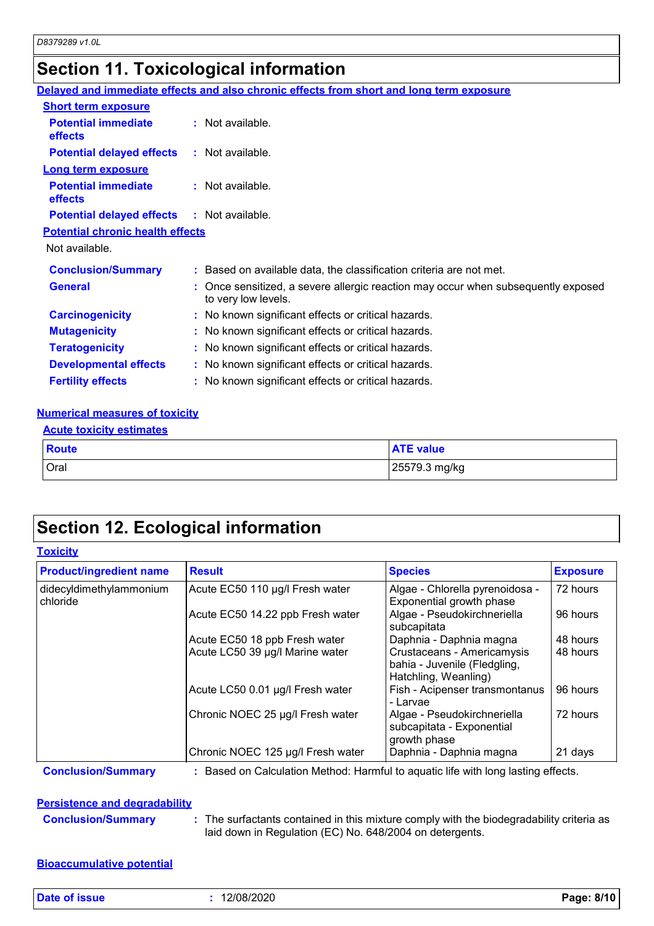## **Section 11. Toxicological information**

|                                                   | Delayed and immediate effects and also chronic effects from short and long term exposure                 |
|---------------------------------------------------|----------------------------------------------------------------------------------------------------------|
| <b>Short term exposure</b>                        |                                                                                                          |
| <b>Potential immediate</b><br><b>effects</b>      | $:$ Not available.                                                                                       |
| <b>Potential delayed effects</b>                  | : Not available.                                                                                         |
| <b>Long term exposure</b>                         |                                                                                                          |
| <b>Potential immediate</b><br>effects             | : Not available.                                                                                         |
| <b>Potential delayed effects : Not available.</b> |                                                                                                          |
| <b>Potential chronic health effects</b>           |                                                                                                          |
| Not available.                                    |                                                                                                          |
| <b>Conclusion/Summary</b>                         | : Based on available data, the classification criteria are not met.                                      |
| <b>General</b>                                    | : Once sensitized, a severe allergic reaction may occur when subsequently exposed<br>to very low levels. |
| <b>Carcinogenicity</b>                            | : No known significant effects or critical hazards.                                                      |
| <b>Mutagenicity</b>                               | : No known significant effects or critical hazards.                                                      |
| <b>Teratogenicity</b>                             | : No known significant effects or critical hazards.                                                      |
| <b>Developmental effects</b>                      | : No known significant effects or critical hazards.                                                      |
| <b>Fertility effects</b>                          | : No known significant effects or critical hazards.                                                      |
|                                                   |                                                                                                          |

#### **Numerical measures of toxicity**

| Route | <b>ATE value</b> |
|-------|------------------|
| Oral  | 25579.3 mg/kg    |

## **Section 12. Ecological information**

#### **Toxicity**

| <b>Product/ingredient name</b>      | <b>Result</b>                     | <b>Species</b>                                                                     | <b>Exposure</b> |
|-------------------------------------|-----------------------------------|------------------------------------------------------------------------------------|-----------------|
| didecyldimethylammonium<br>chloride | Acute EC50 110 µg/l Fresh water   | Algae - Chlorella pyrenoidosa -<br>Exponential growth phase                        | 72 hours        |
|                                     | Acute EC50 14.22 ppb Fresh water  | Algae - Pseudokirchneriella<br>subcapitata                                         | 96 hours        |
|                                     | Acute EC50 18 ppb Fresh water     | Daphnia - Daphnia magna                                                            | 48 hours        |
|                                     | Acute LC50 39 µg/l Marine water   | Crustaceans - Americamysis<br>bahia - Juvenile (Fledgling,<br>Hatchling, Weanling) | 48 hours        |
|                                     | Acute LC50 0.01 µg/l Fresh water  | Fish - Acipenser transmontanus<br>- Larvae                                         | 96 hours        |
|                                     | Chronic NOEC 25 µg/l Fresh water  | Algae - Pseudokirchneriella<br>subcapitata - Exponential<br>growth phase           | 72 hours        |
|                                     | Chronic NOEC 125 µg/l Fresh water | Daphnia - Daphnia magna                                                            | 21 days         |

**Conclusion/Summary :** Based on Calculation Method: Harmful to aquatic life with long lasting effects.

#### **Persistence and degradability**

**Conclusion/Summary :** The surfactants contained in this mixture comply with the biodegradability criteria as laid down in Regulation (EC) No. 648/2004 on detergents.

#### **Bioaccumulative potential**

**Date of issue :** 12/08/2020 **Page: 8/10**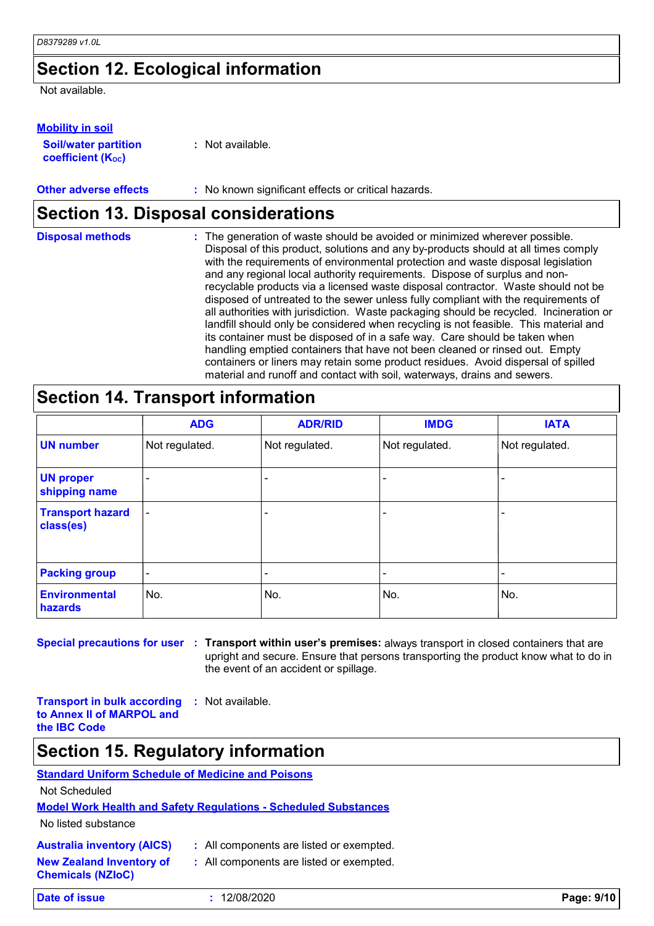### **Section 12. Ecological information**

Not available.

#### **Mobility in soil**

| <b>Soil/water partition</b> |  |
|-----------------------------|--|
| <b>coefficient (Koc)</b>    |  |

**:** Not available.

#### **Other adverse effects** : No known significant effects or critical hazards.

### **Section 13. Disposal considerations**

| <b>Disposal methods</b> | : The generation of waste should be avoided or minimized wherever possible.<br>Disposal of this product, solutions and any by-products should at all times comply<br>with the requirements of environmental protection and waste disposal legislation<br>and any regional local authority requirements. Dispose of surplus and non-<br>recyclable products via a licensed waste disposal contractor. Waste should not be<br>disposed of untreated to the sewer unless fully compliant with the requirements of |
|-------------------------|----------------------------------------------------------------------------------------------------------------------------------------------------------------------------------------------------------------------------------------------------------------------------------------------------------------------------------------------------------------------------------------------------------------------------------------------------------------------------------------------------------------|
|                         | all authorities with jurisdiction. Waste packaging should be recycled. Incineration or<br>landfill should only be considered when recycling is not feasible. This material and<br>its container must be disposed of in a safe way. Care should be taken when<br>handling emptied containers that have not been cleaned or rinsed out. Empty<br>containers or liners may retain some product residues. Avoid dispersal of spilled<br>material and runoff and contact with soil, waterways, drains and sewers.   |

### **Section 14. Transport information**

|                                      | <b>ADG</b>               | <b>ADR/RID</b>           | <b>IMDG</b>    | <b>IATA</b>    |
|--------------------------------------|--------------------------|--------------------------|----------------|----------------|
| <b>UN number</b>                     | Not regulated.           | Not regulated.           | Not regulated. | Not regulated. |
| <b>UN proper</b><br>shipping name    |                          |                          |                |                |
| <b>Transport hazard</b><br>class(es) | $\overline{\phantom{0}}$ |                          |                |                |
| <b>Packing group</b>                 | $\overline{\phantom{a}}$ | $\overline{\phantom{0}}$ | -              |                |
| <b>Environmental</b><br>hazards      | No.                      | No.                      | No.            | No.            |

**Special precautions for user Transport within user's premises:** always transport in closed containers that are **:** upright and secure. Ensure that persons transporting the product know what to do in the event of an accident or spillage.

**Transport in bulk according to Annex II of MARPOL and the IBC Code :** Not available.

### **Section 15. Regulatory information**

### **Standard Uniform Schedule of Medicine and Poisons**

Not Scheduled

#### **Model Work Health and Safety Regulations - Scheduled Substances**

No listed substance

**Chemicals (NZIoC)**

|  |  | <b>Australia inventory (AICS)</b> |  |
|--|--|-----------------------------------|--|
|--|--|-----------------------------------|--|

- All components are listed or exempted.
- **New Zealand Inventory of :** All components are listed or exempted.

**Date of issue :** 12/08/2020 **Page: 9/10**